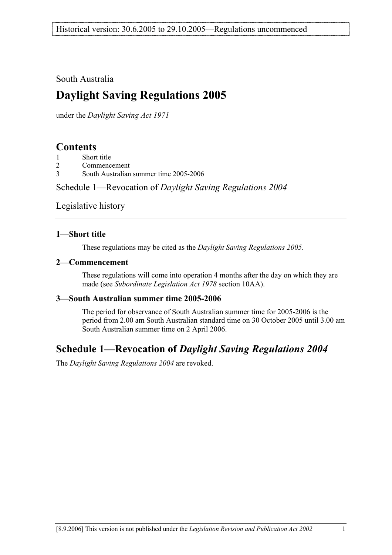South Australia

# **Daylight Saving Regulations 2005**

under the *Daylight Saving Act 1971*

## **Contents**

| Short title |
|-------------|
|             |

- 2 Commencement
- 3 South Australian summer time 2005-2006

Schedule 1—Revocation of *Daylight Saving Regulations 2004*

Legislative history

#### **1—Short title**

These regulations may be cited as the *Daylight Saving Regulations 2005*.

#### **2—Commencement**

These regulations will come into operation 4 months after the day on which they are made (see *Subordinate Legislation Act 1978* section 10AA).

#### **3—South Australian summer time 2005-2006**

The period for observance of South Australian summer time for 2005-2006 is the period from 2.00 am South Australian standard time on 30 October 2005 until 3.00 am South Australian summer time on 2 April 2006.

## **Schedule 1—Revocation of** *Daylight Saving Regulations 2004*

The *Daylight Saving Regulations 2004* are revoked.